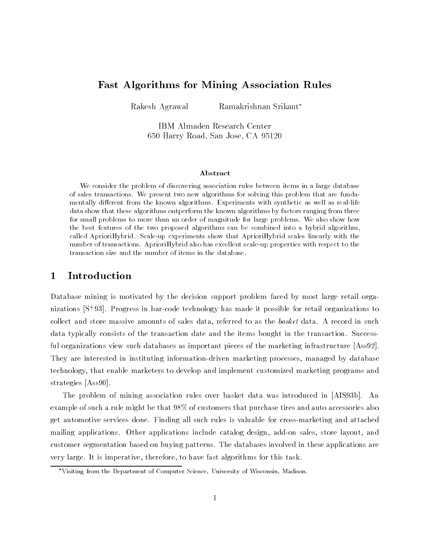# Fast Algorithms for Mining Association Rules

Rakesh Agrawal Ramakrishnan Srikant

IBM Almaden Research Center 650 Harry Road, San Jose, CA 95120

#### Abstract

We consider the problem of discovering association rules between items in a large database of sales transactions. We present two new algorithms for solving this problem that are funda mentally different from the known algorithms. Experiments with synthetic as well as real-life data show that these algorithms outperform the known algorithms by factors ranging from three for small problems to more than an order of magnitude for large problems. We also show how the best features of the two proposed algorithms can be combined into a hybrid algorithm, called AprioriHybrid. Scale-up experiments show that AprioriHybrid scales linearly with the number of transactions. AprioriHybrid also has excellent scale-up properties with respect to the transaction size and the number of items in the database.

#### **Introduction**  $\mathbf 1$

Database mining is motivated by the decision support problem faced by most large retail organizations [S+ 93]. Progress in bar-code technology has made it possible for retail organizations to collect and store massive amounts of sales data, referred to as the basket data. A record in such data typically consists of the transaction date and the items bought in the transaction. Successful organizations view such databases as important pieces of the marketing infrastructure [Ass92]. They are interested in instituting information-driven marketing processes, managed by database technology, that enable marketers to develop and implement customized marketing programs and strategies [Ass90].

The problem of mining association rules over basket data was introduced in [AIS93b]. An example of such a rule might be that 98% of customers that purchase tires and auto accessories also get automotive services done. Finding all such rules is valuable for cross-marketing and attached mailing applications. Other applications include catalog design, add-on sales, store layout, and customer segmentation based on buying patterns. The databases involved in these applications are very large. It is imperative, therefore, to have fast algorithms for this task.

Visiting from the Department of Computer Science, University of Wisconsin, Madison.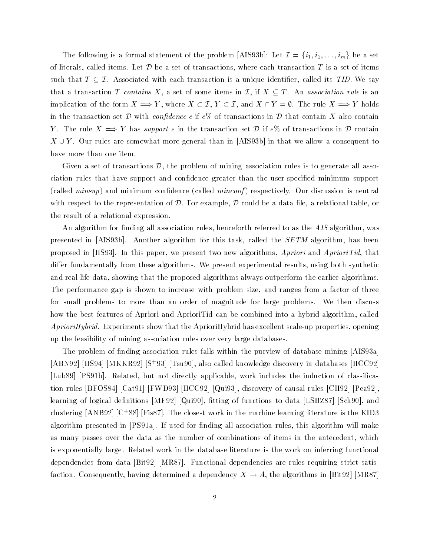The following is a formal statement of the problem [AIS93b]: Let  $\mathcal{I}=\{i_1,i_2,\ldots,i_m\}$  be a set of literals, called items. Let  ${\cal D}$  be a set of transactions, where each transaction  $T$  is a set of items of literals, called items. Let  $D$  be a set of transactions, where each transaction  $T$  is a set of items<br>such that  $T \subseteq \mathcal{I}$ . Associated with each transaction is a unique identifier, called its *TID*. We say that a transaction T contains X, a set of some items in  $\mathcal{I}$ , if  $X \subseteq T$ . An association rule is an such that  $T \subseteq \mathcal{I}$ . Associated with each transaction is a unique identifier, called its *TID*. We say that a transaction *T* contains *X*, a set of some items in  $\mathcal{I}$ , if  $X \subseteq T$ . An association rule is an implicati in the transaction set  $D$  with *confidence c* if  $c$ % of transactions in  $D$  that contain X also contain Y. The rule  $X \implies Y$  has support s in the transaction set D if s% of transactions in D contain  $X \cup Y$ . Our rules are somewhat more general than in [AIS93b] in that we allow a consequent to have more than one item.

Given a set of transactions  $\mathcal{D}$ , the problem of mining association rules is to generate all association rules that have support and condence greater than the user-specied minimum support (called  $minsup$ ) and minimum confidence (called  $minconf$ ) respectively. Our discussion is neutral with respect to the representation of  $D$ . For example,  $D$  could be a data file, a relational table, or the result of a relational expression.

An algorithm for finding all association rules, henceforth referred to as the  $AIS$  algorithm, was presented in [AIS93b]. Another algorithm for this task, called the SETM algorithm, has been proposed in  $(HS93)$ . In this paper, we present two new algorithms, Apriori and AprioriTid, that differ fundamentally from these algorithms. We present experimental results, using both synthetic and real-life data, showing that the proposed algorithms always outperform the earlier algorithms. The performance gap is shown to increase with problem size, and ranges from a factor of three for small problems to more than an order of magnitude for large problems. We then discuss how the best features of Apriori and AprioriTid can be combined into a hybrid algorithm, called  $A prioriHybrid.$  Experiments show that the AprioriHybrid has excellent scale-up properties, opening up the feasibility of mining association rules over very large databases.

The problem of finding association rules falls within the purview of database mining  $[AIS93a]$ [ABN92] [HS94] [MKKR92] [S+ 93] [Tsu90], also called knowledge discovery in databases [HCC92] [Lub89] [PS91b]. Related, but not directly applicable, work includes the induction of classication rules [BFOS84] [Cat91] [FWD93] [HCC92] [Qui93], discovery of causal rules [CH92] [Pea92], learning of logical definitions [MF92] [Qui90], fitting of functions to data [LSBZ87] [Sch90], and clustering  $[ANBBZ]$  [C+88] [F1s87]. The closest work in the machine learning literature is the KID3 algorithm presented in [PS91a]. If used for finding all association rules, this algorithm will make as many passes over the data as the number of combinations of items in the antecedent, which is exponentially large. Related work in the database literature is the work on inferring functional dependencies from data [Bit92] [MR87]. Functional dependencies are rules requiring strict satisfaction. Consequently, having determined a dependency  $X \to A$ , the algorithms in [Bit92] [MR87]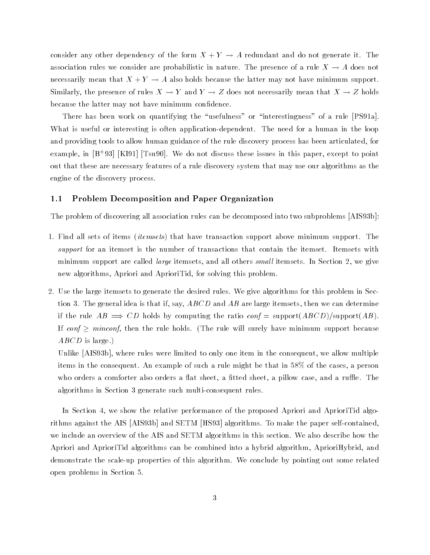consider any other dependency of the form  $X + Y \rightarrow A$  redundant and do not generate it. The association rules we consider are probabilistic in nature. The presence of a rule  $X \to A$  does not necessarily mean that  $X + Y \to A$  also holds because the latter may not have minimum support. Similarly, the presence of rules  $X \to Y$  and  $Y \to Z$  does not necessarily mean that  $X \to Z$  holds because the latter may not have minimum confidence.

There has been work on quantifying the "usefulness" or "interestingness" of a rule [PS91a]. What is useful or interesting is often application-dependent. The need for a human in the loop and providing tools to allow human guidance of the rule discovery process has been articulated, for example, in [B+ 93] [KI91] [Tsu90]. We do not discuss these issues in this paper, except to point out that these are necessary features of a rule discovery system that may use our algorithms as the engine of the discovery process.

# 1.1 Problem Decomposition and Paper Organization

The problem of discovering all association rules can be decomposed into two subproblems [AIS93b]:

- 1. Find all sets of items (itemsets) that have transaction support above minimum support. The support for an itemset is the number of transactions that contain the itemset. Itemsets with minimum support are called *large* itemsets, and all others *small* itemsets. In Section 2, we give new algorithms, Apriori and AprioriTid, for solving this problem.
- 2. Use the large itemsets to generate the desired rules. We give algorithms for this problem in Section 3. The general idea is that if, say,  $ABCD$  and  $AB$  are large itemsets, then we can determine if the rule  $AB \implies CD$  holds by computing the ratio conf = support( $ABCD$ )/support(AB). If conf  $\geq$  minconf, then the rule holds. (The rule will surely have minimum support because  $ABCD$  is large.)

Unlike [AIS93b], where rules were limited to only one item in the consequent, we allow multiple items in the consequent. An example of such a rule might be that in 58% of the cases, a person who orders a comforter also orders a flat sheet, a fitted sheet, a pillow case, and a ruffle. The algorithms in Section 3 generate such multi-consequent rules.

In Section 4, we show the relative performance of the proposed Apriori and AprioriTid algorithms against the AIS [AIS93b] and SETM [HS93] algorithms. To make the paper self-contained, we include an overview of the AIS and SETM algorithms in this section. We also describe how the Apriori and AprioriTid algorithms can be combined into a hybrid algorithm, AprioriHybrid, and demonstrate the scale-up properties of this algorithm. We conclude by pointing out some related open problems in Section 5.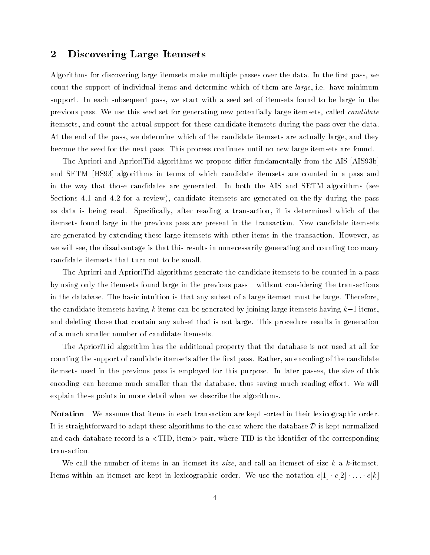# 2 Discovering Large Itemsets

Algorithms for discovering large itemsets make multiple passes over the data. In the first pass, we count the support of individual items and determine which of them are *large*, i.e. have minimum support. In each subsequent pass, we start with a seed set of itemsets found to be large in the previous pass. We use this seed set for generating new potentially large itemsets, called *candidate* itemsets, and count the actual support for these candidate itemsets during the pass over the data. At the end of the pass, we determine which of the candidate itemsets are actually large, and they become the seed for the next pass. This process continues until no new large itemsets are found.

The Apriori and AprioriTid algorithms we propose differ fundamentally from the AIS [AIS93b] and SETM [HS93] algorithms in terms of which candidate itemsets are counted in a pass and in the way that those candidates are generated. In both the AIS and SETM algorithms (see Sections 4.1 and 4.2 for a review), candidate itemsets are generated on-the-fly during the pass as data is being read. Specifically, after reading a transaction, it is determined which of the itemsets found large in the previous pass are present in the transaction. New candidate itemsets are generated by extending these large itemsets with other items in the transaction. However, as we will see, the disadvantage is that this results in unnecessarily generating and counting too many candidate itemsets that turn out to be small.

The Apriori and AprioriTid algorithms generate the candidate itemsets to be counted in a pass by using only the itemsets found large in the previous pass - without considering the transactions in the database. The basic intuition is that any subset of a large itemset must be large. Therefore, the candidate itemsets having k items can be generated by joining large itemsets having  $k-1$  items. and deleting those that contain any subset that is not large. This procedure results in generation of a much smaller number of candidate itemsets.

The AprioriTid algorithm has the additional property that the database is not used at all for counting the support of candidate itemsets after the first pass. Rather, an encoding of the candidate itemsets used in the previous pass is employed for this purpose. In later passes, the size of this encoding can become much smaller than the database, thus saving much reading effort. We will explain these points in more detail when we describe the algorithms.

Notation We assume that items in each transaction are kept sorted in their lexicographic order. It is straightforward to adapt these algorithms to the case where the database  $\mathcal D$  is kept normalized and each database record is a  $\langle TID$ , item  $\rangle$  pair, where TID is the identifier of the corresponding transaction.

We call the number of items in an itemset its size, and call an itemset of size k a k-itemset. Items within an itemset are kept in lexicographic order. We use the notation  $c[1] \cdot c[2] \cdot \ldots \cdot c[k]$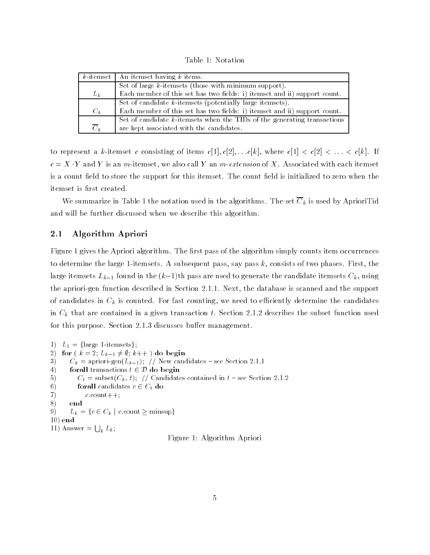Table 1: Notation

|                  | $k$ -itemset   An itemset having k items.                                   |  |  |  |  |  |
|------------------|-----------------------------------------------------------------------------|--|--|--|--|--|
|                  | Set of large $k$ -itemsets (those with minimum support).                    |  |  |  |  |  |
| $L_k$            | Each member of this set has two fields: i) itemset and ii) support count.   |  |  |  |  |  |
|                  | Set of candidate $k$ -itemsets (potentially large itemsets).                |  |  |  |  |  |
| $C_k$            | Each member of this set has two fields: i) itemset and ii) support count.   |  |  |  |  |  |
|                  | Set of candidate $k$ -itemsets when the TIDs of the generating transactions |  |  |  |  |  |
| $\overline{C}_k$ | are kept associated with the candidates.                                    |  |  |  |  |  |

to represent a k-itemset c consisting of items  $c[1], c[2], \ldots c[k]$ , where  $c[1] < c[2] < \ldots < c[k]$ . If  $c = X \cdot Y$  and Y is an m-itemset, we also call Y an m-extension of X. Associated with each itemset is a count field to store the support for this itemset. The count field is initialized to zero when the itemset is first created.

We summarize in Table 1 the notation used in the algorithms. The set  $\overline{C}_k$  is used by AprioriTid and will be further discussed when we describe this algorithm.

# 2.1 Algorithm Apriori

Figure 1 gives the Apriori algorithm. The first pass of the algorithm simply counts item occurrences to determine the large 1-itemsets. A subsequent pass, say pass  $k$ , consists of two phases. First, the large itemsets  $L_{k-1}$  found in the  $(k-1)$ th pass are used to generate the candidate itemsets  $C_k$ , using the apriori-gen function described in Section 2.1.1. Next, the database is scanned and the support of candidates in  $C_k$  is counted. For fast counting, we need to efficiently determine the candidates in  $C_k$  that are contained in a given transaction t. Section 2.1.2 describes the subset function used for this purpose. Section 2.1.3 discusses buffer management.

```
1) L_1 = \{\text{large 1-itemsets}\};2) for (k = 2; L_{k-1} \neq \emptyset; k++) do begin<br>
3) C_k = apriori-gen(L_{k-1}); // New candidat<br>
4) forall transactions t \in \mathcal{D} do begin
3) C_k = \text{apriori-gen}(L_{k-1}); // New candidates - see Section 2.1.1
5) C_t = \text{subset}(C_k, t); // Candidates contained in t – see Section 2.1.2
6) for all candidates c \in C_t do
7) c \text{.count++};8) end
9) L_k = \{c \in C_k \mid c:\text{count} \ge \text{minsup}\}\10) end
11) Answer = \bigcup_k L_k;
                                                   Figure 1: Algorithm Apriori
```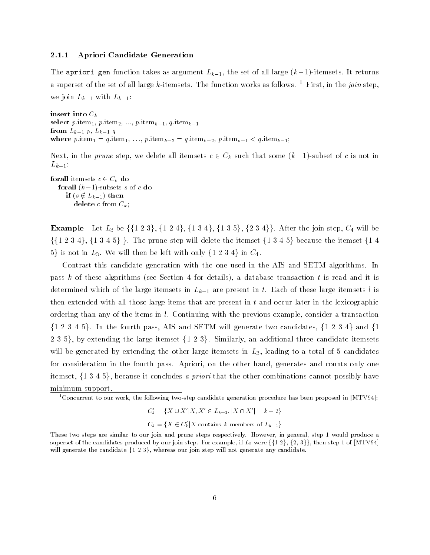### 2.1.1 Apriori Candidate Generation

The apriori-gen function takes as argument  $L_{k-1}$ , the set of all large  $(k-1)$ -itemsets. It returns a superset of the set of all large k-itemsets. The function works as follows. <sup>1</sup> First, in the join step, we join  $L_{k-1}$  with  $L_{k-1}$ :

insert into  $C_k$ select p.item<sub>1</sub>, p.item<sub>2</sub>, ..., p.item<sub>k-1</sub>, q.item<sub>k-1</sub> from  $L_{k-1}$  p,  $L_{k-1}$  q where p.item<sub>1</sub> = q.item<sub>1</sub>, ..., p.item<sub>k-2</sub> = q.item<sub>k-2</sub>, p.item<sub>k-1</sub> < q.item<sub>k-1</sub>;

Next, in the prune step, we delete all itemsets  $c \in C_k$  such that some  $(k-1)$ -subset of c is not in  $L_{k-1}$ :

**forall** itemsets  $c \in C_k$  do **forall**  $(k-1)$ -subsets s of c do if  $(s \notin L_{k-1})$  then  $\mathbf{delete}\ c\ \mathbf{from}\ C_{k};$ 

**Example** Let  $L_3$  be  $\{\{1\;2\;3\},\; \{1\;2\;4\},\; \{1\;3\;4\},\; \{1\;3\;5\},\; \{2\;3\;4\}\}\.$  After the join step,  $C_4$  will be **Example** Let  $L_3$  be  $\{\{1\;2\;3\}, \{1\;2\;4\}, \{1\;3\;4\}, \{1\;3\;5\}, \{2\;3\;4\}\}.$  After the join step,  $C_4$  will be  $\{\{1\;2\;3\;4\}, \{1\;3\;4\;5\}\}.$  The prune step will delete the itemset  $\{1\;3\;4\;5\}$  because the it  $5\}$  is not in  $L_3$ . We will then be left with only  $\{1\;2\;3\;4\}$  in  $C_4$ .

Contrast this candidate generation with the one used in the AIS and SETM algorithms. In pass k of these algorithms (see Section 4 for details), a database transaction t is read and it is determined which of the large itemsets in  $L_{k-1}$  are present in t. Each of these large itemsets l is then extended with all those large items that are present in  $t$  and occur later in the lexicographic ordering than any of the items in l. Continuing with the previous example, consider a transaction  $\{1\ 2\ 3\ 4\ 5\}$ . In the fourth pass, AIS and SETM will generate two candidates,  $\{1\ 2\ 3\ 4\}$  and  $\{1\ 2\ 4\}$ 235}, by extending the large itemset  $\{123\}$ . Similarly, an additional three candidate itemsets will be generated by extending the other large itemsets in  $L_3$ , leading to a total of 5 candidates for consideration in the fourth pass. Apriori, on the other hand, generates and counts only one itemset,  $\{1\,3\,4\,5\}$ , because it concludes a priori that the other combinations cannot possibly have minimum support.

 $^1$ Concurrent to our work, the following two-step candidate generation procedure has been proposed in [MTV94]:

 $C'_{k} = \{X \cup X'|X, X' \in L_{k-1}, |X \cap X'| = k - 2\}$ 

 $C_k = \{X \in C_k' | X \text{ contains } k \text{ members of } L_{k-1}\}\$ 

These two steps are similar to our join and prune steps respectively. However, in general, step 1 would produce a superset of the candidates produced by our join step. For example, if  $L_2$  were  $\{\{1\ 2\}, \{2, 3\}\}\,$ , then step 1 of [MTV94] will generate the candidate  $\{1, 2, 3\}$ , whereas our join step will not generate any candidate.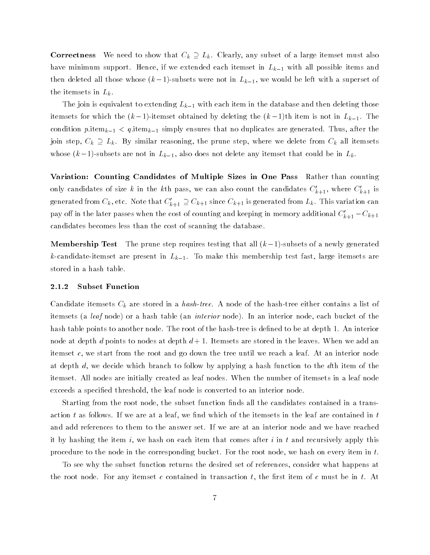**Correctness** We need to show that  $C_k \supseteq L_k$ . Clearly, any subset of a large itemset must also have minimum support. Hence, if we extended each itemset in  $L_{k-1}$  with all possible items and then deleted all those whose  $(k-1)$ -subsets were not in  $L_{k-1}$ , we would be left with a superset of the itemsets in  $L_k$ .

The join is equivalent to extending  $L_{k-1}$  with each item in the database and then deleting those itemsets for which the  $(k-1)$ -itemset obtained by deleting the  $(k-1)$ th item is not in  $L_{k-1}$ . The condition p.item<sub>k-1</sub>  $\lt q$  item<sub>k-1</sub> simply ensures that no duplicates are generated. Thus, after the join step,  $C_k \supseteq L_k$ . By similar reasoning, the prune step, where we delete from  $C_k$  all itemsets whose  $(k-1)$ -subsets are not in  $L_{k-1}$ , also does not delete any itemset that could be in  $L_k$ .

Variation: Counting Candidates of Multiple Sizes in One Pass Rather than counting only candidates of size k in the kth pass, we can also count the candidates  $C'_{k+1}$ , where  $C'_{k+1}$  is generated from  $C_k$ , etc. Note that  $C'_{k+1} \supseteq C_{k+1}$  since  $C_{k+1}$  is generated from  $L_k$ . This variation can pay off in the later passes when the cost of counting and keeping in memory additional  $C_{k+1} - C_{k+1}$ candidates becomes less than the cost of scanning the database.

**Membership Test** The prune step requires testing that all  $(k-1)$ -subsets of a newly generated k-candidate-itemset are present in  $L_{k-1}$ . To make this membership test fast, large itemsets are stored in a hash table.

#### 2.1.2 Subset Function

Candidate itemsets  $C_k$  are stored in a hash-tree. A node of the hash-tree either contains a list of itemsets (a leaf node) or a hash table (an interior node). In an interior node, each bucket of the hash table points to another node. The root of the hash-tree is defined to be at depth 1. An interior node at depth d points to nodes at depth  $d+1$ . Itemsets are stored in the leaves. When we add an itemset c, we start from the root and go down the tree until we reach a leaf. At an interior node at depth d, we decide which branch to follow by applying a hash function to the dth item of the itemset. All nodes are initially created as leaf nodes. When the number of itemsets in a leaf node exceeds a specied threshold, the leaf node is converted to an interior node.

Starting from the root node, the subset function finds all the candidates contained in a transaction  $t$  as follows. If we are at a leaf, we find which of the itemsets in the leaf are contained in  $t$ and add references to them to the answer set. If we are at an interior node and we have reached it by hashing the item i, we hash on each item that comes after i in t and recursively apply this procedure to the node in the corresponding bucket. For the root node, we hash on every item in  $t$ .

To see why the subset function returns the desired set of references, consider what happens at the root node. For any itemset c contained in transaction  $t$ , the first item of c must be in  $t$ . At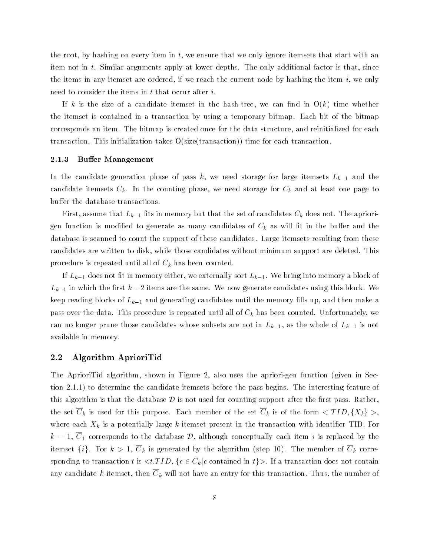the root, by hashing on every item in  $t$ , we ensure that we only ignore itemsets that start with an item not in t. Similar arguments apply at lower depths. The only additional factor is that, since the items in any itemset are ordered, if we reach the current node by hashing the item  $i$ , we only need to consider the items in  $t$  that occur after  $i$ .

If k is the size of a candidate itemset in the hash-tree, we can find in  $O(k)$  time whether the itemset is contained in a transaction by using a temporary bitmap. Each bit of the bitmap corresponds an item. The bitmap is created once for the data structure, and reinitialized for each transaction. This initialization takes O(size(transaction)) time for each transaction.

#### 2.1.3 Buffer Management

In the candidate generation phase of pass k, we need storage for large itemsets  $L_{k-1}$  and the candidate itemsets  $C_k$ . In the counting phase, we need storage for  $C_k$  and at least one page to buffer the database transactions.

First, assume that  $L_{k-1}$  fits in memory but that the set of candidates  $C_k$  does not. The apriorigen function is modified to generate as many candidates of  $C_k$  as will fit in the buffer and the database is scanned to count the support of these candidates. Large itemsets resulting from these candidates are written to disk, while those candidates without minimum support are deleted. This procedure is repeated until all of  $C_k$  has been counted.

If  $L_{k-1}$  does not fit in memory either, we externally sort  $L_{k-1}$ . We bring into memory a block of  $L_{k-1}$  in which the first  $k-2$  items are the same. We now generate candidates using this block. We keep reading blocks of  $L_{k-1}$  and generating candidates until the memory fills up, and then make a pass over the data. This procedure is repeated until all of  $C_k$  has been counted. Unfortunately, we can no longer prune those candidates whose subsets are not in  $L_{k-1}$ , as the whole of  $L_{k-1}$  is not available in memory.

# 2.2 Algorithm AprioriTid

The AprioriTid algorithm, shown in Figure 2, also uses the apriori-gen function (given in Section 2.1.1) to determine the candidate itemsets before the pass begins. The interesting feature of this algorithm is that the database  $\mathcal D$  is not used for counting support after the first pass. Rather, the set  $\overline{C}_k$  is used for this purpose. Each member of the set  $\overline{C}_k$  is of the form  $\langle TID, \{X_k\} \rangle$ where each  $X_k$  is a potentially large k-itemset present in the transaction with identifier TID. For  $k = 1, \overline{C_1}$  corresponds to the database  $\mathcal{D}$ , although conceptually each item i is replaced by the itemset  $\{i\}$ . For  $k > 1$ ,  $\overline{C}_k$  is generated by the algorithm (step 10). The member of  $\overline{C}_k$  corresponding to transaction t is  $\langle t.TID, \{c \in C_k | c \text{ contained in } t\} \rangle$ . If a transaction does not contain any candidate k-itemset, then  $\overline{C}_k$  will not have an entry for this transaction. Thus, the number of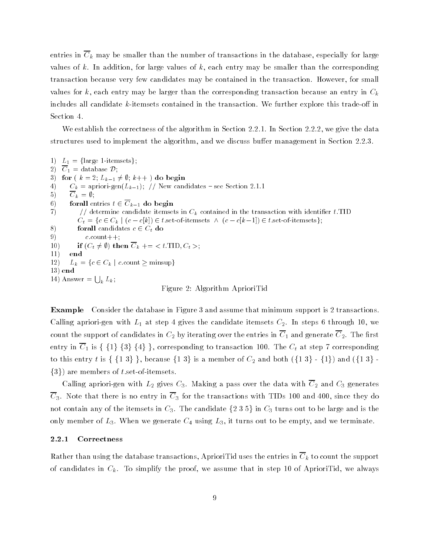entries in  $\overline{C}_k$  may be smaller than the number of transactions in the database, especially for large values of k. In addition, for large values of k, each entry may be smaller than the corresponding transaction because very few candidates may be contained in the transaction. However, for small values for k, each entry may be larger than the corresponding transaction because an entry in  $C_k$ includes all candidate  $k$ -itemsets contained in the transaction. We further explore this trade-off in Section 4.

We establish the correctness of the algorithm in Section 2.2.1. In Section 2.2.2, we give the data structures used to implement the algorithm, and we discuss buffer management in Section 2.2.3.

1)  $L_1 = \{\text{large 1-itemsets}\};$ 2)  $\overline{C}_1$  = database  $\mathcal{D}$ ; 3) for (  $k = 2$ ;  $L_{k-1} \neq \emptyset$ ;  $k++$  ) do begin 4)  $C_k = \text{apriori-gen}(L_{k-1});$  // New candidates - see Section 2.1.1 5)  $\overline{C}_k = \emptyset;$ 6) forall entries  $t \in \overline{C}_{k-1}$  do begin 7)  $\frac{1}{2}$  determine candidate itemsets in  $C_k$  contained in the transaction with identifier t. TID  $C_t = \{c \in C_k \mid (c - c[k]) \in t$  set-of-itemsets  $\wedge (c - c[k-1]) \in t$  set-of-itemsets; 8) for all candidates  $c \in C_t$  do 9)  $c \text{.count++};$ 10) if  $(C_t \neq \emptyset)$  then  $\overline{C}_k$  += < t.TID,  $C_t$  >;  $11)$ 12)  $L_k = \{c \in C_k \mid c:\text{count} \ge \text{minsup}\}\$ 13) end 14) Answer  $= \bigcup_k L_k$ ; Figure 2: Algorithm AprioriTid

Example Consider the database in Figure 3 and assume that minimum support is 2 transactions. Calling apriori-gen with  $L_1$  at step 4 gives the candidate itemsets  $C_2$ . In steps 6 through 10, we count the support of candidates in C2 by iterating over the entries in C1 and generate C2. The entries in C2. The entries in C2. The entries in C2. The entries in C2. The entries in C2. The entries in C2. The entries in C count the support of candidates in  $C_2$  by iterating over the entries in  $\overline{C}_1$  and generate  $\overline{C}_2$ . The first<br>entry in  $\overline{C}_1$  is  $\{ \{1\} \{3\} \{4\} \}$ , corresponding to transaction 100. The  $C_t$  at step 7 corre entry in  $\overline{C}_1$  is { {1} {3} {4} }, corresponding to transaction 100. The  $C_t$  at step 7 corresponding to this entry t is { {1 3} }, because {1 3} is a member of  $C_2$  and both ({1 3} - {1}) and ({1 3} - $\{3\}$ ) are members of t.set-of-itemsets.

Calling apriori-gen with  $L_2$  gives  $C_3$ . Making a pass over the data with  $\overline{C}_2$  and  $C_3$  generates  $\overline{C}_3$ . Note that there is no entry in  $\overline{C}_3$  for the transactions with TIDs 100 and 400, since they do not contain any of the itemsets in  $C_3$ . The candidate  $\{235\}$  in  $C_3$  turns out to be large and is the only member of  $L_3$ . When we generate  $C_4$  using  $L_3$ , it turns out to be empty, and we terminate.

#### 2.2.1 Correctness

Rather than using the database transactions, AprioriTid uses the entries in  $\overline{C}_k$  to count the support of candidates in  $C_k$ . To simplify the proof, we assume that in step 10 of AprioriTid, we always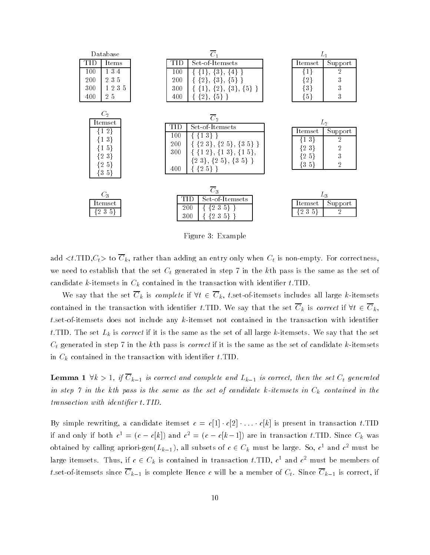

Figure 3: Example

add  $$  to  $\overline{C}_k$ , rather than adding an entry only when  $C_t$  is non-empty. For correctness, we need to establish that the set  $C_t$  generated in step 7 in the kth pass is the same as the set of candidate k-itemsets in  $C_k$  contained in the transaction with identifier t.TID.

We say that the set  $\overline{C}_k$  is *complete* if  $\forall t \in \overline{C}_k$ , t.set-of-itemsets includes all large k-itemsets contained in the transaction with identifier t.TID. We say that the set  $\overline{C}_k$  is correct if  $\forall t \in \overline{C}_k$ .  $t$  set-of-itemsets does not include any  $k$ -itemset not contained in the transaction with identifier t. TID. The set  $L_k$  is correct if it is the same as the set of all large k-itemsets. We say that the set  $C_t$  generated in step 7 in the kth pass is *correct* if it is the same as the set of candidate k-itemsets in  $C_k$  contained in the transaction with identifier t.TID.

**Lemma** 1  $\forall k > 1$ , if  $\overline{C}_{k-1}$  is correct and complete and  $L_{k-1}$  is correct, then the set  $C_t$  generated in step 7 in the kth pass is the same as the set of candidate k-itemsets in  $C_k$  contained in the transaction with identifier t. TID.

By simple rewriting, a candidate itemset  $c = c[1] \cdot c[2] \cdot \ldots \cdot c[k]$  is present in transaction t.TID if and only if both  $c^1 = (c - c[k])$  and  $c^2 = (c - c[k-1])$  are in transaction t.TID. Since  $C_k$  was obtained by calling apriori-gen $(L_{k-1})$ , all subsets of  $c \in C_k$  must be large. So,  $c^1$  and  $c^2$  must be large itemsets. Thus, if  $c \in C_k$  is contained in transaction t.TID,  $c^1$  and  $c^2$  must be members of t.set-of-itemsets since  $\overline{C}_{k-1}$  is complete Hence c will be a member of  $C_t$ . Since  $\overline{C}_{k-1}$  is correct, if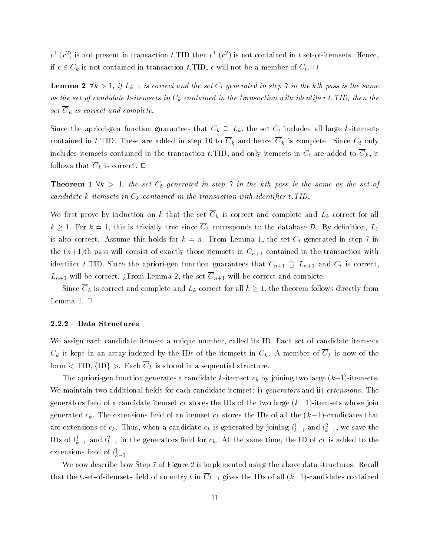$c^{\pm}$  (c ) is not present in transaction  $t$ .11D then  $c^{\pm}$  (c ) is not contained in  $t$  set-of-itemsets. Hence, if  $c \in C_k$  is not contained in transaction t.TID, c will not be a member of  $C_t$ .

**Lemma 2**  $\forall k > 1$ , if  $L_{k-1}$  is correct and the set  $C_t$  generated in step 7 in the kth pass is the same as the set of candidate k-itemsets in  $C_k$  contained in the transaction with identifier t. TID, then the set  $\overline{C}_k$  is correct and complete.

Since the apriori-gen function guarantees that  $C_k \supseteq L_k$ , the set  $C_t$  includes all large k-itemsets contained in t.TID. These are added in step 10 to  $\overline{C}_k$  and hence  $\overline{C}_k$  is complete. Since  $C_t$  only includes itemsets contained in the transaction t.TID, and only itemsets in  $C_t$  are added to  $C_k$ , it follows that  $\overline{C}_k$  is correct.  $\Box$ 

**Theorem 1**  $\forall k > 1$ , the set  $C_t$  generated in step 7 in the kth pass is the same as the set of candidate k-itemsets in  $C_k$  contained in the transaction with identifier t. TID.

We first prove by induction on k that the set  $\overline{C}_k$  is correct and complete and  $L_k$  correct for all  $k \geq 1$ . For  $k = 1$ , this is trivially true since  $\overline{C}_1$  corresponds to the database D. By definition,  $L_1$ is also correct. Assume this holds for  $k = n$ . From Lemma 1, the set  $C_t$  generated in step 7 in the  $(n+1)$ th pass will consist of exactly those itemsets in  $C_{n+1}$  contained in the transaction with identifier t.TID. Since the apriori-gen function guarantees that  $C_{n+1} \supseteq L_{n+1}$  and  $C_t$  is correct,  $L_{n+1}$  will be correct. ¿From Lemma 2, the set  $\overline{C}_{n+1}$  will be correct and complete.

Since  $\overline{C}_k$  is correct and complete and  $L_k$  correct for all  $k\geq 1,$  the theorem follows directly from Lemma 1.  $\Box$ 

# 2.2.2 Data Structures

We assign each candidate itemset a unique number, called its ID. Each set of candidate itemsets  $C_k$  is kept in an array indexed by the IDs of the itemsets in  $C_k$ . A member of  $\overline{C}_k$  is now of the form  $\langle$  TID,  $\{$ ID}  $>$ . Each  $\overline{C}_k$  is stored in a sequential structure.

The apriori-gen function generates a candidate k-itemset  $c_k$  by joining two large  $(k-1)$ -itemsets. We maintain two additional fields for each candidate itemset: i) generators and ii) extensions. The generators field of a candidate itemset  $c_k$  stores the IDs of the two large  $(k-1)$ -itemsets whose join generated  $c_k$ . The extensions field of an itemset  $c_k$  stores the IDs of all the  $(k+1)$ -candidates that are extensions of  $c_k$ . Thus, when a candidate  $c_k$  is generated by joining  $\iota_{\bar{k}-1}$  and  $\iota_{\bar{k}-1}$ , we save the IDs of  $i_{k-1}$  and  $i_{k-1}$  in the generators field for  $c_k$ . At the same time, the ID of  $c_k$  is added to the extensions neig of  $\iota_{\bar{k}-1}$ .

We now describe how Step 7 of Figure 2 is implemented using the above data structures. Recall that the t.set-of-itemsets field of an entry t in  $\overline{C}_{k-1}$  gives the IDs of all  $(k-1)$ -candidates contained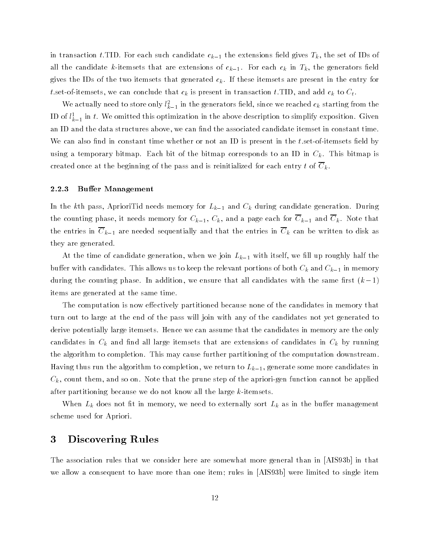in transaction t.TID. For each such candidate  $c_{k-1}$  the extensions field gives  $T_k$ , the set of IDs of all the candidate k-itemsets that are extensions of  $c_{k-1}$ . For each  $c_k$  in  $T_k$ , the generators field gives the IDs of the two itemsets that generated  $c_k$ . If these itemsets are present in the entry for t.set-of-itemsets, we can conclude that  $c_k$  is present in transaction t.TID, and add  $c_k$  to  $C_t$ .

We actually need to store only  $t_{k-1}$  in the generators held, since we reached  $c_k$  starting from the ID of  $l_{L-1}^+$  in  $l_+$  we omitted this optimization in the above description to simplify exposition. Given an ID and the data structures above, we can find the associated candidate itemset in constant time. We can also find in constant time whether or not an ID is present in the  $t$  set-of-itemsets field by using a temporary bitmap. Each bit of the bitmap corresponds to an ID in  $C_k$ . This bitmap is created once at the beginning of the pass and is reinitialized for each entry t of  $\overline{C}_k$ .

#### 2.2.3 Buffer Management

In the kth pass, AprioriTid needs memory for  $L_{k-1}$  and  $C_k$  during candidate generation. During the counting phase, it needs memory for  $C_{k-1}$ ,  $C_k$ , and a page each for  $\overline{C}_{k-1}$  and  $\overline{C}_k$ . Note that the entries in  $\overline{C}_{k-1}$  are needed sequentially and that the entries in  $\overline{C}_k$  can be written to disk as they are generated.

At the time of candidate generation, when we join  $L_{k-1}$  with itself, we fill up roughly half the buffer with candidates. This allows us to keep the relevant portions of both  $C_k$  and  $C_{k-1}$  in memory during the counting phase. In addition, we ensure that all candidates with the same first  $(k-1)$ items are generated at the same time.

The computation is now effectively partitioned because none of the candidates in memory that turn out to large at the end of the pass will join with any of the candidates not yet generated to derive potentially large itemsets. Hence we can assume that the candidates in memory are the only candidates in  $C_k$  and find all large itemsets that are extensions of candidates in  $C_k$  by running the algorithm to completion. This may cause further partitioning of the computation downstream. Having thus run the algorithm to completion, we return to  $L_{k-1}$ , generate some more candidates in  $C_k$ , count them, and so on. Note that the prune step of the apriori-gen function cannot be applied after partitioning because we do not know all the large k-itemsets.

When  $L_k$  does not fit in memory, we need to externally sort  $L_k$  as in the buffer management scheme used for Apriori.

# 3 Discovering Rules

The association rules that we consider here are somewhat more general than in [AIS93b] in that we allow a consequent to have more than one item; rules in [AIS93b] were limited to single item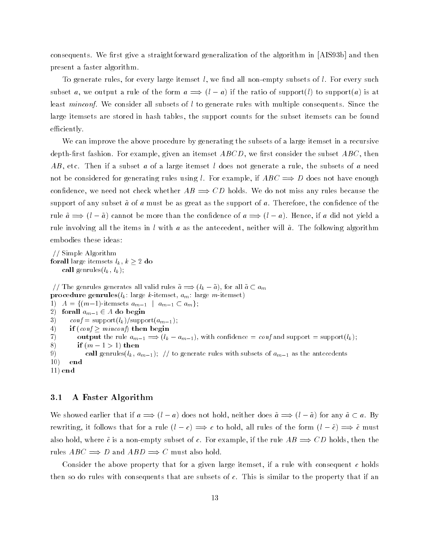consequents. We first give a straightforward generalization of the algorithm in [AIS93b] and then present a faster algorithm.

To generate rules, for every large itemset  $l$ , we find all non-empty subsets of  $l$ . For every such subset a, we output a rule of the form  $a \implies (l - a)$  if the ratio of support(l) to support(a) is at least *minconf*. We consider all subsets of  $l$  to generate rules with multiple consequents. Since the large itemsets are stored in hash tables, the support counts for the subset itemsets can be found efficiently.

We can improve the above procedure by generating the subsets of a large itemset in a recursive depth-first fashion. For example, given an itemset  $ABCD$ , we first consider the subset  $ABC$ , then AB, etc. Then if a subset a of a large itemset l does not generate a rule, the subsets of a need not be considered for generating rules using *l*. For example, if  $ABC \implies D$  does not have enough confidence, we need not check whether  $AB \implies CD$  holds. We do not miss any rules because the support of any subset  $\tilde{a}$  of a must be as great as the support of a. Therefore, the confidence of the rule  $\tilde{a} \implies (l - \tilde{a})$  cannot be more than the confidence of  $a \implies (l - a)$ . Hence, if a did not yield a rule involving all the items in  $l$  with  $a$  as the antecedent, neither will  $\tilde{a}$ . The following algorithm embodies these ideas:

// Simple Algorithm **forall** large itemsets  $l_k$ ,  $k \geq 2$  do call genrules $(l_k, l_k);$ 

// The genrules generates all valid rules  $\tilde{a} \implies (l_k - \tilde{a})$ , for all  $\tilde{a} \subset a_m$ **procedure genrules**( $l_k$ : large k-itemset,  $a_m$ : large m-itemset) 1)  $A = \{(m-1)$ -itemsets  $a_{m-1} \mid a_{m-1} \subset a_m \};$ 2) forall  $a_{m-1} \in A$  do begin 3) conf =  $\text{support}(l_k)/\text{support}(a_{m-1});$ 4) if  $(\text{conf} \geq \text{minconf})$  then begin 7) output the rule  $a_{m-1} \Longrightarrow (l_k - a_{m-1})$ , with confidence  $=$  conf and support  $=$  support $(l_k)$ ; 8) if  $(m-1>1)$  then 9) call genrules( $l_k, a_{m-1}$ ); // to generate rules with subsets of  $a_{m-1}$  as the antecedents 10) end 11) end

### 3.1 A Faster Algorithm

We showed earlier that if  $a \implies (l - a)$  does not hold, neither does  $\tilde{a} \implies (l - \tilde{a})$  for any  $\tilde{a} \subset a$ . By rewriting, it follows that for a rule  $(l - c) \implies c$  to hold, all rules of the form  $(l - \tilde{c}) \implies \tilde{c}$  must also hold, where  $\tilde{c}$  is a non-empty subset of c. For example, if the rule  $AB \implies CD$  holds, then the rules  $ABC \implies D$  and  $ABD \implies C$  must also hold.

Consider the above property that for a given large itemset, if a rule with consequent c holds then so do rules with consequents that are subsets of c. This is similar to the property that if an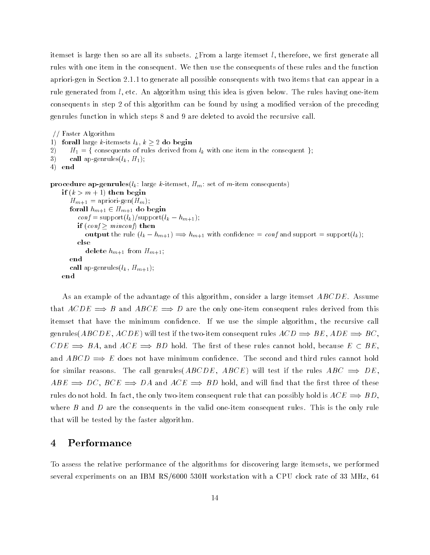itemset is large then so are all its subsets. ¿From a large itemset l, therefore, we first generate all rules with one item in the consequent. We then use the consequents of these rules and the function apriori-gen in Section 2.1.1 to generate all possible consequents with two items that can appear in a rule generated from l, etc. An algorithm using this idea is given below. The rules having one-item consequents in step 2 of this algorithm can be found by using a modied version of the preceding genrules function in which steps 8 and 9 are deleted to avoid the recursive call.

```
// Faster Algorithm
1) forall large k-itemsets l_k, k \geq 2 do begin
2) H_1 = \{ \text{consequences of rules derived from } l_k \text{ with one item in the consequent } \};3) call ap-genrules(l_k, H_1);4) end
procedure ap-genrules(l_k: large k-itemset, H_m: set of m-item consequents)
    if (k > m + 1) then begin
       H_{m+1} = apriori-gen(H_m);forall h_{m+1} \in H_{m+1} do begin
          \text{conf} = \text{support}(l_k)/\text{support}(l_k - h_{m+1});if (\text{conf} \geq \text{minconf}) then
             output the rule (l_k - h_{m+1}) \Longrightarrow h_{m+1} with confidence = conf and support = support(l_k);
          else
             delete h_{m+1} from H_{m+1};
       end
       call ap-genrules(l_k, H_{m+1});
    end
```
As an example of the advantage of this algorithm, consider a large itemset ABCDE. Assume that  $ACDE \implies B$  and  $ABCE \implies D$  are the only one-item consequent rules derived from this itemset that have the minimum condence. If we use the simple algorithm, the recursive call genrules(ABCDE, ACDE) will test if the two-item consequent rules  $ACD \implies BE$ ,  $ADE \implies BC$ ,  $CDE \implies BA$ , and  $ACE \implies BD$  hold. The first of these rules cannot hold, because  $E \subset BE$ , and  $ABCD \implies E$  does not have minimum confidence. The second and third rules cannot hold for similar reasons. The call genrules  $(ABCDE, ABCE)$  will test if the rules  $ABC \implies DE$ .  $ABE \implies DC, BCE \implies DA$  and  $ACE \implies BD$  hold, and will find that the first three of these rules do not hold. In fact, the only two-item consequent rule that can possibly hold is  $ACE \implies BD$ . where  $B$  and  $D$  are the consequents in the valid one-item consequent rules. This is the only rule that will be tested by the faster algorithm.

# 4 Performance

To assess the relative performance of the algorithms for discovering large itemsets, we performed several experiments on an IBM RS/6000 530H workstation with a CPU clock rate of 33 MHz, 64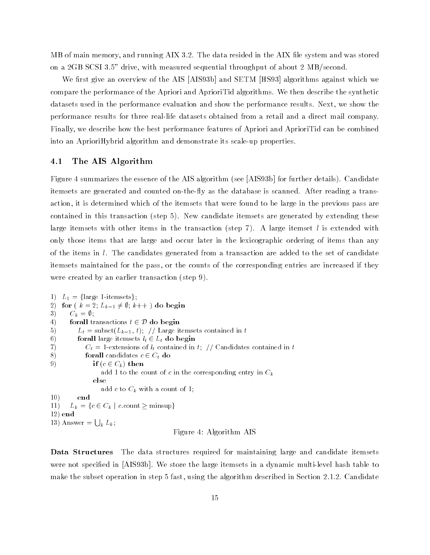MB of main memory, and running AIX 3.2. The data resided in the AIX le system and was stored on a 2GB SCSI 3.5" drive, with measured sequential throughput of about 2 MB/second.

We first give an overview of the AIS [AIS93b] and SETM [HS93] algorithms against which we compare the performance of the Apriori and AprioriTid algorithms. We then describe the synthetic datasets used in the performance evaluation and show the performance results. Next, we show the performance results for three real-life datasets obtained from a retail and a direct mail company. Finally, we describe how the best performance features of Apriori and AprioriTid can be combined into an AprioriHybrid algorithm and demonstrate its scale-up properties.

# 4.1 The AIS Algorithm

Figure 4 summarizes the essence of the AIS algorithm (see [AIS93b] for further details). Candidate itemsets are generated and counted on-the-fly as the database is scanned. After reading a transaction, it is determined which of the itemsets that were found to be large in the previous pass are contained in this transaction (step 5). New candidate itemsets are generated by extending these large itemsets with other items in the transaction (step 7). A large itemset l is extended with only those items that are large and occur later in the lexicographic ordering of items than any of the items in l. The candidates generated from a transaction are added to the set of candidate itemsets maintained for the pass, or the counts of the corresponding entries are increased if they were created by an earlier transaction (step 9).

1)  $L_1 = \{\text{large 1-itemsets}\};$ 2) for  $(k = 2; L_{k-1} \neq \emptyset; k++)$  do begin<br>
3)  $C_k = \emptyset;$ <br>
4) forall transactions  $t \in \mathcal{D}$  do begin 3)  $C_k = \emptyset;$ 5)  $L_t = \text{subset}(L_{k-1}, t);$  // Large itemsets contained in t 6) for all large itemsets  $l_t \in L_t$  do begin 7)  $C_t = 1$ -extensions of  $l_t$  contained in t; // Candidates contained in t 8) for all candidates  $c \in C_t$  do 9) if  $(c \in C_k)$  then add 1 to the count of c in the corresponding entry in  $C_k$ else add c to  $C_k$  with a count of 1; 10) end 11)  $L_k = \{c \in C_k \mid c:\text{count} \geq \text{minsup}\}\$ 12) end 13) Answer  $= \bigcup_k L_k$ ; Figure 4: Algorithm AIS

Data Structures The data structures required for maintaining large and candidate itemsets were not specied in [AIS93b]. We store the large itemsets in a dynamic multi-level hash table to make the subset operation in step 5 fast, using the algorithm described in Section 2.1.2. Candidate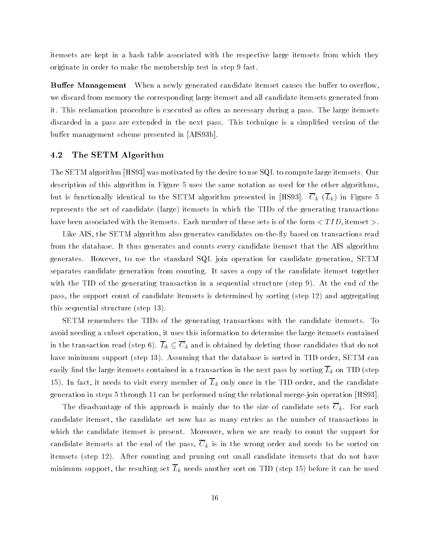itemsets are kept in a hash table associated with the respective large itemsets from which they originate in order to make the membership test in step 9 fast.

Buffer Management When a newly generated candidate itemset causes the buffer to overflow we discard from memory the corresponding large itemset and all candidate itemsets generated from it. This reclamation procedure is executed as often as necessary during a pass. The large itemsets discarded in a pass are extended in the next pass. This technique is a simplified version of the buffer management scheme presented in [AIS93b].

### 4.2 The SETM Algorithm

The SETM algorithm [HS93] was motivated by the desire to use SQL to compute large itemsets. Our description of this algorithm in Figure 5 uses the same notation as used for the other algorithms, but is functionally identical to the SETM algorithm presented in [HS93].  $\overline{C}_k$  ( $\overline{L}_k$ ) in Figure 5 represents the set of candidate (large) itemsets in which the TIDs of the generating transactions have been associated with the itemsets. Each member of these sets is of the form  $\langle TID,$ itemset  $\rangle$ .

Like AIS, the SETM algorithm also generates candidates on-the-fly based on transactions read from the database. It thus generates and counts every candidate itemset that the AIS algorithm generates. However, to use the standard SQL join operation for candidate generation, SETM separates candidate generation from counting. It saves a copy of the candidate itemset together with the TID of the generating transaction in a sequential structure (step 9). At the end of the pass, the support count of candidate itemsets is determined by sorting (step 12) and aggregating this sequential structure (step 13).

SETM remembers the TIDs of the generating transactions with the candidate itemsets. To avoid needing a subset operation, it uses this information to determine the large itemsets contained in the transaction read (step 6).  $\overline{L}_k \subseteq \overline{C}_k$  and is obtained by deleting those candidates that do not have minimum support (step 13). Assuming that the database is sorted in TID order, SETM can easily find the large itemsets contained in a transaction in the next pass by sorting  $\overline{L}_k$  on TID (step 15). In fact, it needs to visit every member of  $\overline{L}_k$  only once in the TID order, and the candidate generation in steps 5 through 11 can be performed using the relational merge-join operation [HS93].

The disadvantage of this approach is mainly due to the size of candidate sets  $\overline{C}_k$ . For each candidate itemset, the candidate set now has as many entries as the number of transactions in which the candidate itemset is present. Moreover, when we are ready to count the support for candidate itemsets at the end of the pass,  $\overline{C}_k$  is in the wrong order and needs to be sorted on itemsets (step 12). After counting and pruning out small candidate itemsets that do not have minimum support, the resulting set  $\overline{L}_k$  needs another sort on TID (step 15) before it can be used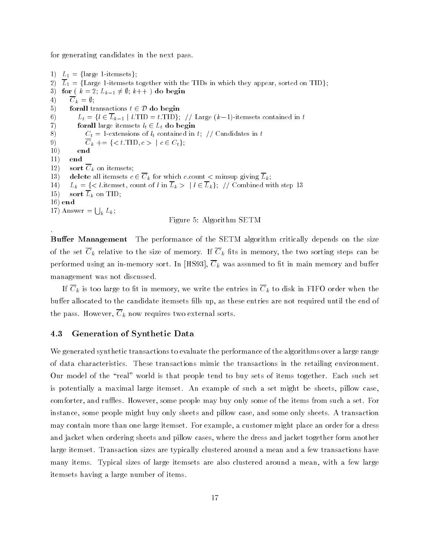for generating candidates in the next pass.

1)  $L_1 = \{\text{large 1-itemsets}\};$ 2)  $\overline{L}_1 = \{\text{Large 1-itemsets together with the TIDs in which they appear, sorted on TID}\};$ 3) for  $(k = 2; L_{k-1} \neq \emptyset; k++)$  do begin<br>
4)  $\overline{C}_k = \emptyset;$ <br>
5) forall transactions  $t \in \mathcal{D}$  do begin 4)  $\overline{C}_k = \emptyset;$ 6)  $L_t = \{l \in \overline{L}_{k-1} \mid l.\text{TID} = t.\text{TID}\}\;/\;/\; \text{Large } (k-1)\text{-itemsets contained in } t$ 7) for all large itemsets  $l_t \in L_t$  do begin 8)  $C_t = 1$ -extensions of  $l_t$  contained in t; // Candidates in t 9)  $\overline{C}_k$  += {< t.TID,  $c > | c \in C_t$ }; 10) end 11) end 12) sort  $\overline{C}_k$  on itemsets; 13) delete all itemsets  $c \in \overline{C}_k$  for which c.count  $\lt$  minsup giving  $\overline{L}_k$ ; 14)  $L_k = \{ \langle l \text{.itemset, count of } l \text{ in } \overline{L}_k \rangle \mid l \in \overline{L}_k \}; \text{ // Combined with step 13}$ 15) sort  $L_k$  on TID; 16) end 17) Answer  $= \bigcup_k L_k$ ; Figure 5: Algorithm SETM

**Buffer Management** The performance of the SETM algorithm critically depends on the size of the set  $\overline{C}_k$  relative to the size of memory. If  $\overline{C}_k$  fits in memory, the two sorting steps can be performed using an in-memory sort. In [HS93],  $\overline{C}_k$  was assumed to fit in main memory and buffer management was not discussed.

If  $\overline{C}_k$  is too large to fit in memory, we write the entries in  $\overline{C}_k$  to disk in FIFO order when the buffer allocated to the candidate itemsets fills up, as these entries are not required until the end of the pass. However,  $\overline{C}_k$  now requires two external sorts.

# 4.3 Generation of Synthetic Data

We generated synthetic transactions to evaluate the performance of the algorithms over a large range of data characteristics. These transactions mimic the transactions in the retailing environment. Our model of the "real" world is that people tend to buy sets of items together. Each such set is potentially a maximal large itemset. An example of such a set might be sheets, pillow case, comforter, and ruffles. However, some people may buy only some of the items from such a set. For instance, some people might buy only sheets and pillow case, and some only sheets. A transaction may contain more than one large itemset. For example, a customer might place an order for a dress and jacket when ordering sheets and pillow cases, where the dress and jacket together form another large itemset. Transaction sizes are typically clustered around a mean and a few transactions have many items. Typical sizes of large itemsets are also clustered around a mean, with a few large itemsets having a large number of items.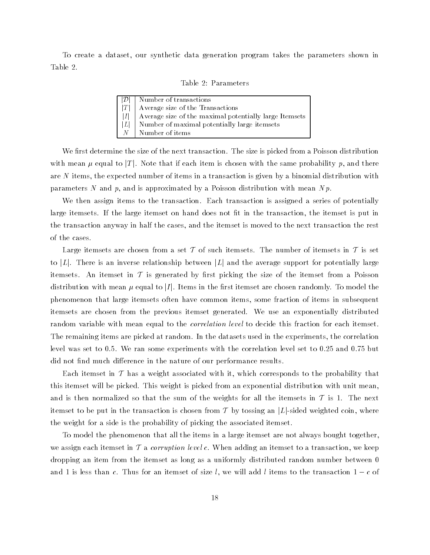To create a dataset, our synthetic data generation program takes the parameters shown in Table 2.

|  |  | Table 2: Parameters |
|--|--|---------------------|
|--|--|---------------------|

|   | Number of transactions                                 |
|---|--------------------------------------------------------|
| T | Average size of the Transactions                       |
| I | Average size of the maximal potentially large Itemsets |
| L | Number of maximal potentially large itemsets           |
| N | Number of items                                        |

We first determine the size of the next transaction. The size is picked from a Poisson distribution with mean  $\mu$  equal to  $|T|$ . Note that if each item is chosen with the same probability p, and there are  $N$  items, the expected number of items in a transaction is given by a binomial distribution with parameters N and p, and is approximated by a Poisson distribution with mean  $N p$ .

We then assign items to the transaction. Each transaction is assigned a series of potentially large itemsets. If the large itemset on hand does not fit in the transaction, the itemset is put in the transaction anyway in half the cases, and the itemset is moved to the next transaction the rest of the cases.

Large itemsets are chosen from a set  $\mathcal T$  of such itemsets. The number of itemsets in  $\mathcal T$  is set to |L|. There is an inverse relationship between |L| and the average support for potentially large itemsets. An itemset in  $\mathcal T$  is generated by first picking the size of the itemset from a Poisson distribution with mean  $\mu$  equal to |I|. Items in the first itemset are chosen randomly. To model the phenomenon that large itemsets often have common items, some fraction of items in subsequent itemsets are chosen from the previous itemset generated. We use an exponentially distributed random variable with mean equal to the *correlation level* to decide this fraction for each itemset. The remaining items are picked at random. In the datasets used in the experiments, the correlation level was set to 0.5. We ran some experiments with the correlation level set to 0.25 and 0.75 but did not find much difference in the nature of our performance results.

Each itemset in  $\mathcal T$  has a weight associated with it, which corresponds to the probability that this itemset will be picked. This weight is picked from an exponential distribution with unit mean, and is then normalized so that the sum of the weights for all the itemsets in  $\mathcal T$  is 1. The next itemset to be put in the transaction is chosen from T by tossing an |L|-sided weighted coin, where the weight for a side is the probability of picking the associated itemset.

To model the phenomenon that all the items in a large itemset are not always bought together, we assign each itemset in  $\mathcal T$  a *corruption level c*. When adding an itemset to a transaction, we keep dropping an item from the itemset as long as a uniformly distributed random number between 0 and 1 is less than c. Thus for an itemset of size l, we will add l items to the transaction  $1 - c$  of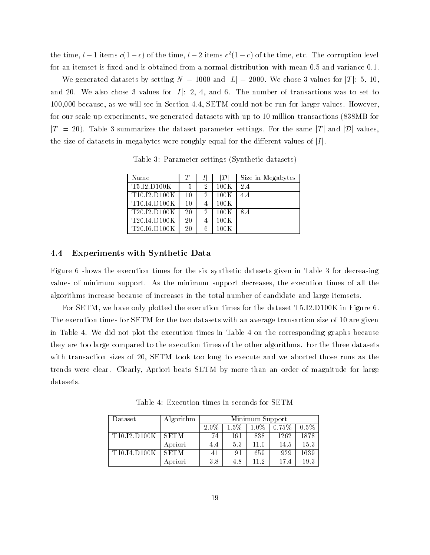the time,  $l-1$  items  $c(1-c)$  of the time,  $l-2$  items  $c^2(1-c)$  of the time, etc. The corruption level for an itemset is fixed and is obtained from a normal distribution with mean 0.5 and variance 0.1.

We generated datasets by setting  $N = 1000$  and  $|L| = 2000$ . We chose 3 values for  $|T|$ : 5, 10, and 20. We also chose 3 values for  $|I|$ : 2, 4, and 6. The number of transactions was to set to 100,000 because, as we will see in Section 4.4, SETM could not be run for larger values. However, for our scale-up experiments, we generated datasets with up to 10 million transactions (838MB for  $|T| = 20$ ). Table 3 summarizes the dataset parameter settings. For the same  $|T|$  and  $|D|$  values, the size of datasets in megabytes were roughly equal for the different values of  $|I|$ .

| Name                                                |    | D    | Size in Megabytes |
|-----------------------------------------------------|----|------|-------------------|
| T5.I2.D100K                                         | 5  | 100K | 2.4               |
| T10.I2.D100K                                        | 10 | 100K | 4.4               |
| T <sub>10</sub> . <sub>14</sub> .D <sub>100</sub> K | 10 | 100K |                   |
| T <sub>20</sub> 12 D <sub>100</sub> K               | 20 | 100K | 8.4               |
| T <sub>20</sub> .14.D <sub>100</sub> K              | 20 | 100K |                   |
| T <sub>20</sub> I <sub>6</sub> D <sub>100</sub> K   | 20 | 100K |                   |

Table 3: Parameter settings (Synthetic datasets)

### 4.4 Experiments with Synthetic Data

Figure 6 shows the execution times for the six synthetic datasets given in Table 3 for decreasing values of minimum support. As the minimum support decreases, the execution times of all the algorithms increase because of increases in the total number of candidate and large itemsets.

For SETM, we have only plotted the execution times for the dataset T5.I2.D100K in Figure 6. The execution times for SETM for the two datasets with an average transaction size of 10 are given in Table 4. We did not plot the execution times in Table 4 on the corresponding graphs because they are too large compared to the execution times of the other algorithms. For the three datasets with transaction sizes of 20, SETM took too long to execute and we aborted those runs as the trends were clear. Clearly, Apriori beats SETM by more than an order of magnitude for large datasets.

Table 4: Execution times in seconds for SETM

| Dataset                                           | Algorithm   | Minimum Support |     |         |       |         |  |
|---------------------------------------------------|-------------|-----------------|-----|---------|-------|---------|--|
|                                                   |             | 2.0%            | -5% | $1.0\%$ | 0.75% | $0.5\%$ |  |
| T <sub>10</sub> I <sub>2</sub> D <sub>100</sub> K | <b>SETM</b> | 74              | 161 | 838     | 1262  | 1878    |  |
|                                                   | Apriori     | 4.4             | 5.3 | 11.0    | 14.5  | 15.3    |  |
| T10.I4.D100K                                      | <b>SETM</b> | 41              | 91  | 659     | 929   | 1639    |  |
|                                                   | Apriori     | 3.8             | 4.8 | 11.2    | 17.4  | 193     |  |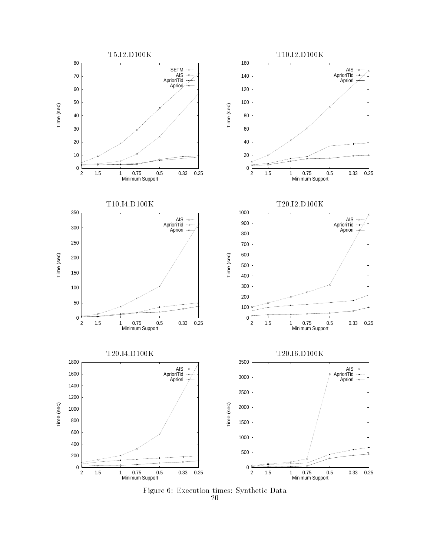

Figure 6: Execution times: Synthetic Data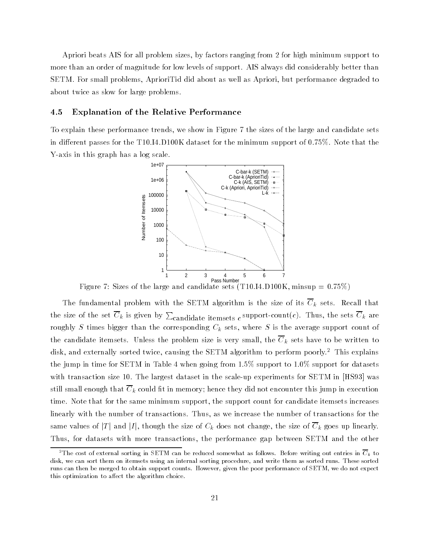Apriori beats AIS for all problem sizes, by factors ranging from 2 for high minimum support to more than an order of magnitude for low levels of support. AIS always did considerably better than SETM. For small problems, AprioriTid did about as well as Apriori, but performance degraded to about twice as slow for large problems.

# 4.5 Explanation of the Relative Performance

To explain these performance trends, we show in Figure 7 the sizes of the large and candidate sets in different passes for the T10.I4.D100K dataset for the minimum support of  $0.75\%$ . Note that the Y-axis in this graph has a log scale.



Figure 7: Sizes of the large and candidate sets (T10.I4.D100K, minsup =  $0.75\%$ )

The fundamental problem with the SETM algorithm is the size of its  $\overline{C}_k$  sets. Recall that the size of the set  $C_k$  is given by  $\sum_{\rm candidates\; itemsets\; }c$  support-count( $c$ ). Thus, the sets  $C_k$  are roughly S times bigger than the corresponding  $C_k$  sets, where S is the average support count of the candidate itemsets. Unless the problem size is very small, the  $\overline{C}_k$  sets have to be written to disk, and externally sorted twice, causing the SETM algorithm to perform poorly.<sup>2</sup> This explains the jump in time for SETM in Table 4 when going from  $1.5\%$  support to  $1.0\%$  support for datasets with transaction size 10. The largest dataset in the scale-up experiments for SETM in [HS93] was still small enough that  $\overline{C}_k$  could fit in memory; hence they did not encounter this jump in execution time. Note that for the same minimum support, the support count for candidate itemsets increases linearly with the number of transactions. Thus, as we increase the number of transactions for the same values of  $|T|$  and  $|I|$ , though the size of  $C_k$  does not change, the size of  $\overline{C}_k$  goes up linearly. Thus, for datasets with more transactions, the performance gap between SETM and the other

<sup>&</sup>lt;sup>2</sup>The cost of external sorting in SETM can be reduced somewhat as follows. Before writing out entries in  $\overline{C}_k$  to disk, we can sort them on itemsets using an internal sorting procedure, and write them as sorted runs. These sorted runs can then be merged to obtain support counts. However, given the poor performance of SETM, we do not expect this optimization to affect the algorithm choice.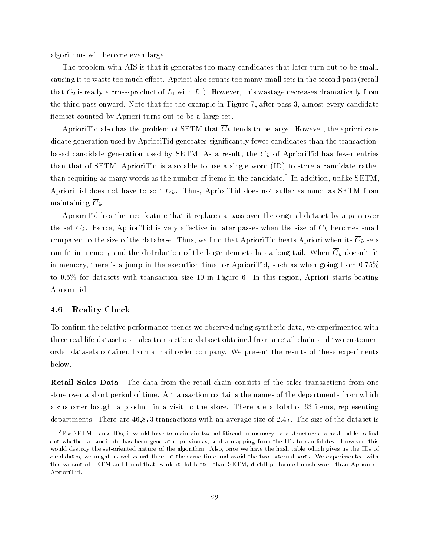algorithms will become even larger.

The problem with AIS is that it generates too many candidates that later turn out to be small, causing it to waste too much effort. Apriori also counts too many small sets in the second pass (recall that  $C_2$  is really a cross-product of  $L_1$  with  $L_1$ ). However, this wastage decreases dramatically from the third pass onward. Note that for the example in Figure 7, after pass 3, almost every candidate itemset counted by Apriori turns out to be a large set.

AprioriTid also has the problem of SETM that  $\overline{C}_k$  tends to be large. However, the apriori candidate generation used by AprioriTid generates signicantly fewer candidates than the transactionbased candidate generation used by SETM. As a result, the  $\overline{C}_k$  of AprioriTid has fewer entries than that of SETM. AprioriTid is also able to use a single word (ID) to store a candidate rather  $t$ han requiring as many words as the number of items in the candidate. The addition, unlike SETM, AprioriTid does not have to sort  $\overline{C}_k$ . Thus, AprioriTid does not suffer as much as SETM from maintaining  $\overline{C}_k$ .

AprioriTid has the nice feature that it replaces a pass over the original dataset by a pass over the set  $\overline{C}_k$ . Hence, AprioriTid is very effective in later passes when the size of  $\overline{C}_k$  becomes small compared to the size of the database. Thus, we find that AprioriTid beats Apriori when its  $\overline{C}_k$  sets can fit in memory and the distribution of the large itemsets has a long tail. When  $\overline{C}_k$  doesn't fit in memory, there is a jump in the execution time for AprioriTid, such as when going from 0.75% to 0.5% for datasets with transaction size 10 in Figure 6. In this region, Apriori starts beating AprioriTid.

# 4.6 Reality Check

To confirm the relative performance trends we observed using synthetic data, we experimented with three real-life datasets: a sales transactions dataset obtained from a retail chain and two customerorder datasets obtained from a mail order company. We present the results of these experiments below.

Retail Sales Data The data from the retail chain consists of the sales transactions from one store over a short period of time. A transaction contains the names of the departments from which a customer bought a product in a visit to the store. There are a total of 63 items, representing departments. There are 46,873 transactions with an average size of 2.47. The size of the dataset is

 ${}^{3}$ For SETM to use IDs, it would have to maintain two additional in-memory data structures: a hash table to find out whether a candidate has been generated previously, and a mapping from the IDs to candidates. However, this would destroy the set-oriented nature of the algorithm. Also, once we have the hash table which gives us the IDs of candidates, we might as well count them at the same time and avoid the two external sorts. We experimented with this variant of SETM and found that, while it did better than SETM, it still performed much worse than Apriori or AprioriTid.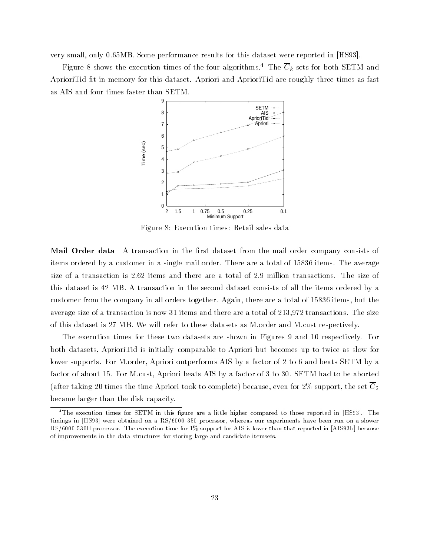very small, only 0.65MB. Some performance results for this dataset were reported in [HS93].

Figure 8 shows the execution times of the four algorithms.<sup>4</sup> The  $\overline{C}_k$  sets for both SETM and AprioriTid fit in memory for this dataset. Apriori and AprioriTid are roughly three times as fast as AIS and four times faster than SETM.



Figure 8: Execution times: Retail sales data

Mail Order data A transaction in the first dataset from the mail order company consists of items ordered by a customer in a single mail order. There are a total of 15836 items. The average size of a transaction is 2.62 items and there are a total of 2.9 million transactions. The size of this dataset is 42 MB. A transaction in the second dataset consists of all the items ordered by a customer from the company in all orders together. Again, there are a total of 15836 items, but the average size of a transaction is now 31 items and there are a total of 213,972 transactions. The size of this dataset is 27 MB. We will refer to these datasets as M.order and M.cust respectively.

The execution times for these two datasets are shown in Figures 9 and 10 respectively. For both datasets, AprioriTid is initially comparable to Apriori but becomes up to twice as slow for lower supports. For M.order, Apriori outperforms AIS by a factor of 2 to 6 and beats SETM by a factor of about 15. For M.cust, Apriori beats AIS by a factor of 3 to 30. SETM had to be aborted (after taking 20 times the time Apriori took to complete) because, even for 2% support, the set  $\overline{C}_2$ became larger than the disk capacity.

<sup>&</sup>lt;sup>4</sup>The execution times for SETM in this figure are a little higher compared to those reported in [HS93]. The timings in [HS93] were obtained on a RS/6000 350 processor, whereas our experiments have been run on a slower RS/6000 530H processor. The execution time for 1% support for AIS is lower than that reported in [AIS93b] because of improvements in the data structures for storing large and candidate itemsets.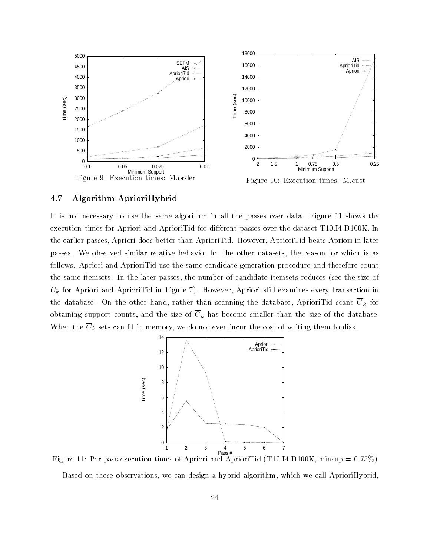

# 4.7 Algorithm AprioriHybrid

It is not necessary to use the same algorithm in all the passes over data. Figure 11 shows the execution times for Apriori and AprioriTid for different passes over the dataset T10.I4.D100K. In the earlier passes, Apriori does better than AprioriTid. However, AprioriTid beats Apriori in later passes. We observed similar relative behavior for the other datasets, the reason for which is as follows. Apriori and AprioriTid use the same candidate generation procedure and therefore count the same itemsets. In the later passes, the number of candidate itemsets reduces (see the size of  $C_k$  for Apriori and AprioriTid in Figure 7). However, Apriori still examines every transaction in the database. On the other hand, rather than scanning the database, AprioriTid scans  $\overline{C}_k$  for obtaining support counts, and the size of  $\overline{C}_k$  has become smaller than the size of the database. When the  $\overline{C}_k$  sets can fit in memory, we do not even incur the cost of writing them to disk.



Figure 11: Per pass execution times of Apriori and AprioriTid (T10.I4.D100K, minsup =  $0.75\%$ ) Based on these observations, we can design a hybrid algorithm, which we call AprioriHybrid,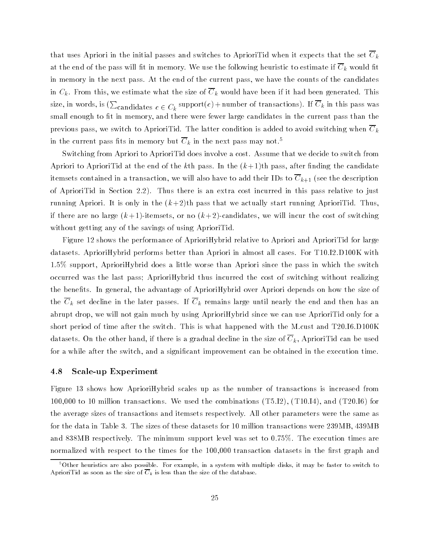that uses Apriori in the initial passes and switches to AprioriTid when it expects that the set  $\overline{C}_k$ at the end of the pass will fit in memory. We use the following heuristic to estimate if  $\overline{C}_k$  would fit in memory in the next pass. At the end of the current pass, we have the counts of the candidates in  $C_k$ . From this, we estimate what the size of  $\overline{C}_k$  would have been if it had been generated. This size, in words, is ( $\sum_{\rm candidates}$   $c \in C_k$  support $(c)$  + number of transactions). If  $C_k$  in this pass was small enough to fit in memory, and there were fewer large candidates in the current pass than the previous pass, we switch to AprioriTid. The latter condition is added to avoid switching when  $C_k$ in the current pass fits in memory but  $\overline{C}_k$  in the next pass may not.<sup>5</sup>

Switching from Apriori to AprioriTid does involve a cost. Assume that we decide to switch from Apriori to Apriori Tid at the end of the k<sup>th</sup> pass. In the  $(k+1)$ <sup>th</sup> pass, after finding the candidate itemsets contained in a transaction, we will also have to add their IDs to  $\overline{C}_{k+1}$  (see the description of AprioriTid in Section 2.2). Thus there is an extra cost incurred in this pass relative to just running Apriori. It is only in the  $(k+2)$ th pass that we actually start running AprioriTid. Thus, if there are no large  $(k+1)$ -itemsets, or no  $(k+2)$ -candidates, we will incur the cost of switching without getting any of the savings of using AprioriTid.

Figure 12 shows the performance of AprioriHybrid relative to Apriori and AprioriTid for large datasets. AprioriHybrid performs better than Apriori in almost all cases. For T10.I2.D100K with 1.5% support, AprioriHybrid does a little worse than Apriori since the pass in which the switch occurred was the last pass; AprioriHybrid thus incurred the cost of switching without realizing the benets. In general, the advantage of AprioriHybrid over Apriori depends on how the size of the  $\overline{C}_k$  set decline in the later passes. If  $\overline{C}_k$  remains large until nearly the end and then has an abrupt drop, we will not gain much by using AprioriHybrid since we can use AprioriTid only for a short period of time after the switch. This is what happened with the M.cust and T20.I6.D100K datasets. On the other hand, if there is a gradual decline in the size of  $C_k$ , AprioriTid can be used for a while after the switch, and a signicant improvement can be obtained in the execution time.

### 4.8 Scale-up Experiment

Figure 13 shows how AprioriHybrid scales up as the number of transactions is increased from 100,000 to 10 million transactions. We used the combinations (T5.I2), (T10.I4), and (T20.I6) for the average sizes of transactions and itemsets respectively. All other parameters were the same as for the data in Table 3. The sizes of these datasets for 10 million transactions were 239MB, 439MB and 838MB respectively. The minimum support level was set to 0.75%. The execution times are normalized with respect to the times for the 100,000 transaction datasets in the first graph and

<sup>5</sup>Other heuristics are also possible. For example, in a system with multiple disks, it may be faster to switch to AprioriTid as soon as the size of  $\overline{C}_k$  is less than the size of the database.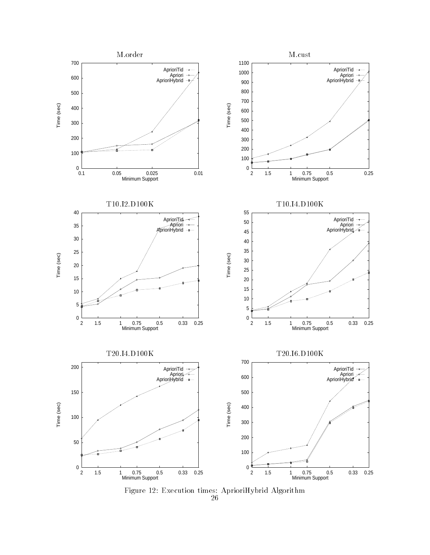

Figure 12: Execution times: AprioriHybrid Algorithm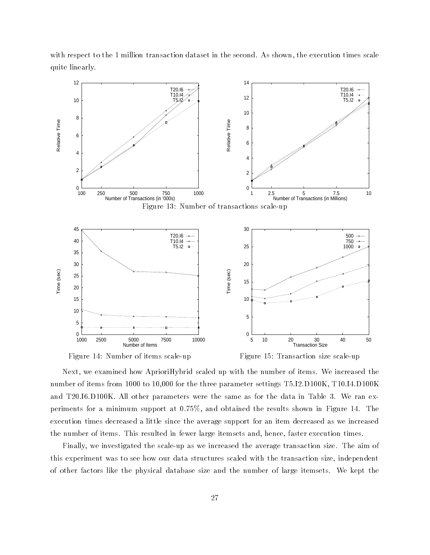with respect to the 1 million transaction dataset in the second. As shown, the execution times scale quite linearly.



Figure 14: Number of items scale-up

Figure 15: Transaction size scale-up

Next, we examined how AprioriHybrid scaled up with the number of items. We increased the number of items from 1000 to 10,000 for the three parameter settings T5.I2.D100K, T10.I4.D100K and T20.I6.D100K. All other parameters were the same as for the data in Table 3. We ran experiments for a minimum support at 0.75%, and obtained the results shown in Figure 14. The execution times decreased a little since the average support for an item decreased as we increased the number of items. This resulted in fewer large itemsets and, hence, faster execution times.

Finally, we investigated the scale-up as we increased the average transaction size. The aim of this experiment was to see how our data structures scaled with the transaction size, independent of other factors like the physical database size and the number of large itemsets. We kept the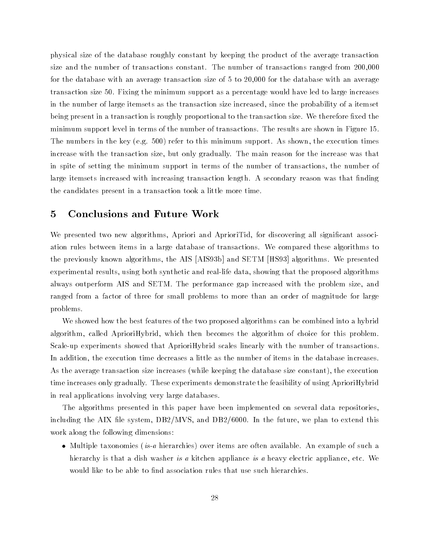physical size of the database roughly constant by keeping the product of the average transaction size and the number of transactions constant. The number of transactions ranged from 200,000 for the database with an average transaction size of 5 to 20,000 for the database with an average transaction size 50. Fixing the minimum support as a percentage would have led to large increases in the number of large itemsets as the transaction size increased, since the probability of a itemset being present in a transaction is roughly proportional to the transaction size. We therefore fixed the minimum support level in terms of the number of transactions. The results are shown in Figure 15. The numbers in the key (e.g. 500) refer to this minimum support. As shown, the execution times increase with the transaction size, but only gradually. The main reason for the increase was that in spite of setting the minimum support in terms of the number of transactions, the number of large itemsets increased with increasing transaction length. A secondary reason was that finding the candidates present in a transaction took a little more time.

# 5 Conclusions and Future Work

We presented two new algorithms, Apriori and AprioriTid, for discovering all significant association rules between items in a large database of transactions. We compared these algorithms to the previously known algorithms, the AIS [AIS93b] and SETM [HS93] algorithms. We presented experimental results, using both synthetic and real-life data, showing that the proposed algorithms always outperform AIS and SETM. The performance gap increased with the problem size, and ranged from a factor of three for small problems to more than an order of magnitude for large problems.

We showed how the best features of the two proposed algorithms can be combined into a hybrid algorithm, called AprioriHybrid, which then becomes the algorithm of choice for this problem. Scale-up experiments showed that AprioriHybrid scales linearly with the number of transactions. In addition, the execution time decreases a little as the number of items in the database increases. As the average transaction size increases (while keeping the database size constant), the execution time increases only gradually. These experiments demonstrate the feasibility of using AprioriHybrid in real applications involving very large databases.

The algorithms presented in this paper have been implemented on several data repositories, including the AIX file system,  $DB2/MVS$ , and  $DB2/6000$ . In the future, we plan to extend this work along the following dimensions:

 Multiple taxonomies (is-a hierarchies) over items are often available. An example of such a hierarchy is that a dish washer is a kitchen appliance is a heavy electric appliance, etc. We would like to be able to find association rules that use such hierarchies.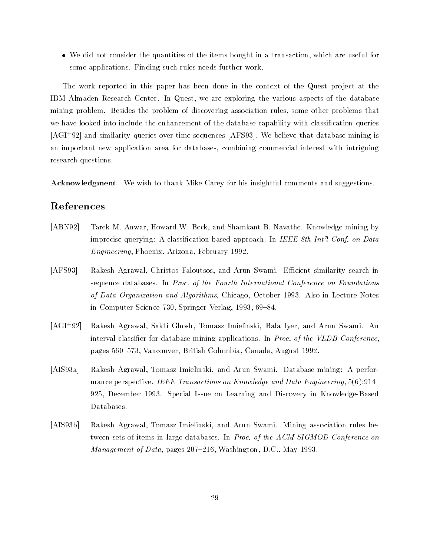We did not consider the quantities of the items bought in a transaction, which are useful for some applications. Finding such rules needs further work.

The work reported in this paper has been done in the context of the Quest project at the IBM Almaden Research Center. In Quest, we are exploring the various aspects of the database mining problem. Besides the problem of discovering association rules, some other problems that we have looked into include the enhancement of the database capability with classification queries [AGI+ 92] and similarity queries over time sequences [AFS93]. We believe that database mining is an important new application area for databases, combining commercial interest with intriguing research questions.

Acknowledgment We wish to thank Mike Carey for his insightful comments and suggestions.

# References

- [ABN92] Tarek M. Anwar, Howard W. Beck, and Shamkant B. Navathe. Knowledge mining by imprecise querying: A classification-based approach. In IEEE 8th Int'l Conf. on Data Engineering, Phoenix, Arizona, February 1992.
- [AFS93] Rakesh Agrawal, Christos Faloutsos, and Arun Swami. Efficient similarity search in sequence databases. In Proc. of the Fourth International Conference on Foundations of Data Organization and Algorithms, Chicago, October 1993. Also in Lecture Notes in Computer Science 730, Springer Verlag, 1993, 69-84.
- $[AGI+92]$ 92] Rakesh Agrawal, Sakti Ghosh, Tomasz Imielinski, Bala Iyer, and Arun Swami. An interval classier for database mining applications. In Proc. of the VLDB Conference, pages 560-573, Vancouver, British Columbia, Canada, August 1992.
- [AIS93a] Rakesh Agrawal, Tomasz Imielinski, and Arun Swami. Database mining: A performance perspective. IEEE Transactions on Knowledge and Data Engineering,  $5(6):914-$ 925, December 1993. Special Issue on Learning and Discovery in Knowledge-Based Databases.
- [AIS93b] Rakesh Agrawal, Tomasz Imielinski, and Arun Swami. Mining association rules between sets of items in large databases. In Proc. of the ACM SIGMOD Conference on *Management of Data*, pages  $207-216$ , Washington, D.C., May 1993.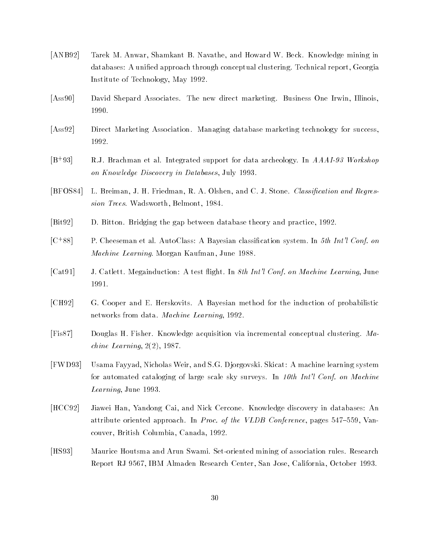- [ANB92] Tarek M. Anwar, Shamkant B. Navathe, and Howard W. Beck. Knowledge mining in databases: A unified approach through conceptual clustering. Technical report, Georgia Institute of Technology, May 1992.
- [Ass90] David Shepard Associates. The new direct marketing. Business One Irwin, Illinois, 1990.
- [Ass92] Direct Marketing Association. Managing database marketing technology for success, 1992.
- $[B+93]$ R.J. Brachman et al. Integrated support for data archeology. In AAAI-93 Workshop on Know ledge Discovery in Databases, July 1993.
- [BFOS84] L. Breiman, J. H. Friedman, R. A. Olshen, and C. J. Stone. Classication and Regression Trees. Wadsworth, Belmont, 1984.
- [Bit92] D. Bitton. Bridging the gap between database theory and practice, 1992.
- $[C+88]$ P. Cheeseman et al. AutoClass: A Bayesian classification system. In 5th Int'l Conf. on Machine Learning. Morgan Kaufman, June 1988.
- [Cat91] J. Catlett. Megainduction: A test flight. In 8th Int'l Conf. on Machine Learning, June 1991.
- [CH92] G. Cooper and E. Herskovits. A Bayesian method for the induction of probabilistic networks from data. Machine Learning, 1992.
- [Fis87] Douglas H. Fisher. Knowledge acquisition via incremental conceptual clustering. Ma $chine\ Learning, 2(2), 1987.$
- [FWD93] Usama Fayyad, Nicholas Weir, and S.G. Djorgovski. Skicat: A machine learning system for automated cataloging of large scale sky surveys. In 10th Int'l Conf. on Machine Learning, June 1993.
- [HCC92] Jiawei Han, Yandong Cai, and Nick Cercone. Knowledge discovery in databases: An attribute oriented approach. In *Proc. of the VLDB Conference*, pages  $547-559$ , Vancouver, British Columbia, Canada, 1992.
- [HS93] Maurice Houtsma and Arun Swami. Set-oriented mining of association rules. Research Report RJ 9567, IBM Almaden Research Center, San Jose, California, October 1993.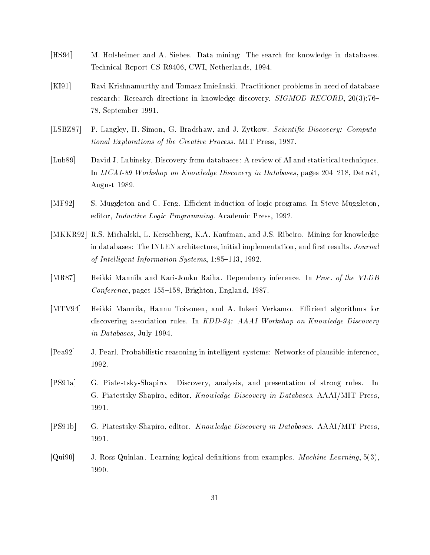- [HS94] M. Holsheimer and A. Siebes. Data mining: The search for knowledge in databases. Technical Report CS-R9406, CWI, Netherlands, 1994.
- [KI91] Ravi Krishnamurthy and Tomasz Imielinski. Practitioner problems in need of database research: Research directions in knowledge discovery. SIGMOD RECORD, 20(3):76-78, September 1991.
- [LSBZ87] P. Langley, H. Simon, G. Bradshaw, and J. Zytkow. Scientific Discovery: Computational Explorations of the Creative Process. MIT Press, 1987.
- [Lub89] David J. Lubinsky. Discovery from databases: A review of AI and statistical techniques. In  $IJCAI-89$  Workshop on Knowledge Discovery in Databases, pages  $204-218$ , Detroit, August 1989.
- [MF92] S. Muggleton and C. Feng. Efficient induction of logic programs. In Steve Muggleton, editor, Inductive Logic Programming. Academic Press, 1992.
- [MKKR92] R.S. Michalski, L. Kerschberg, K.A. Kaufman, and J.S. Ribeiro. Mining for knowledge in databases: The INLEN architecture, initial implementation, and first results. Journal of Intelligent Information Systems,  $1:85-113$ , 1992.
- [MR87] Heikki Mannila and Kari-Jouku Raiha. Dependency inference. In Proc. of the VLDB Conference, pages  $155–158$ , Brighton, England, 1987.
- [MTV94] Heikki Mannila, Hannu Toivonen, and A. Inkeri Verkamo. Efficient algorithms for discovering association rules. In  $KDD-94$ : AAAI Workshop on Knowledge Discovery in Databases, July 1994.
- [Pea92] J. Pearl. Probabilistic reasoning in intelligent systems: Networks of plausible inference, 1992.
- [PS91a] G. Piatestsky-Shapiro. Discovery, analysis, and presentation of strong rules. In G. Piatestsky-Shapiro, editor, Know ledge Discovery in Databases. AAAI/MIT Press, 1991.
- [PS91b] G. Piatestsky-Shapiro, editor. Know ledge Discovery in Databases. AAAI/MIT Press, 1991.
- [Qui90] J. Ross Quinlan. Learning logical denitions from examples. Machine Learning, 5(3), 1990.